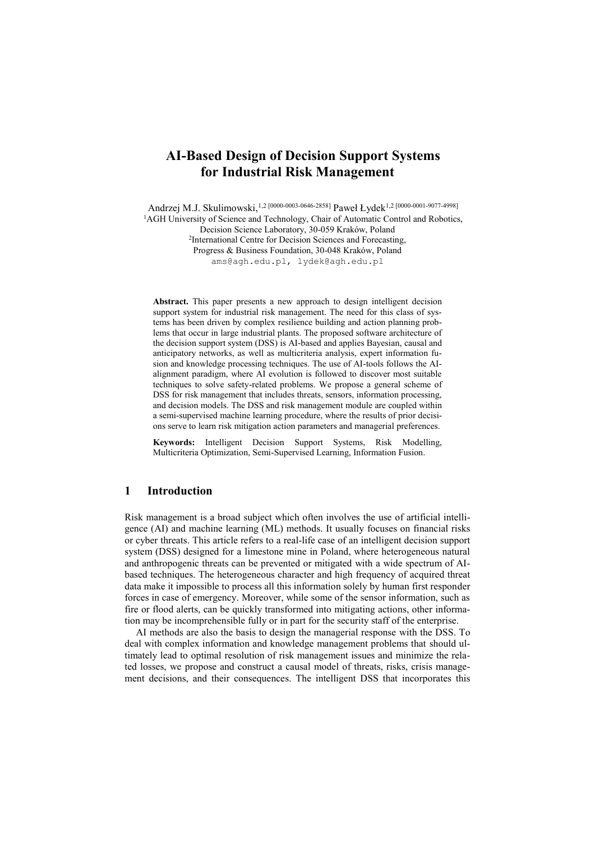# **AI-Based Design of Decision Support Systems for Industrial Risk Management**

Andrzej M.J. Skulimowski, <sup>1,2</sup> [0000-0003-0646-2858] Paweł Łydek<sup>1,2</sup> [0000-0001-9077-4998] <sup>1</sup>AGH University of Science and Technology, Chair of Automatic Control and Robotics, Decision Science Laboratory, 30-059 Kraków, Poland 2 International Centre for Decision Sciences and Forecasting, Progress & Business Foundation, 30-048 Kraków, Poland ams@agh.edu.pl, lydek@agh.edu.pl

**Abstract.** This paper presents a new approach to design intelligent decision support system for industrial risk management. The need for this class of systems has been driven by complex resilience building and action planning problems that occur in large industrial plants. The proposed software architecture of the decision support system (DSS) is AI-based and applies Bayesian, causal and anticipatory networks, as well as multicriteria analysis, expert information fusion and knowledge processing techniques. The use of AI-tools follows the AIalignment paradigm, where AI evolution is followed to discover most suitable techniques to solve safety-related problems. We propose a general scheme of DSS for risk management that includes threats, sensors, information processing, and decision models. The DSS and risk management module are coupled within a semi-supervised machine learning procedure, where the results of prior decisions serve to learn risk mitigation action parameters and managerial preferences.

**Keywords:** Intelligent Decision Support Systems, Risk Modelling, Multicriteria Optimization, Semi-Supervised Learning, Information Fusion.

# **1 Introduction**

Risk management is a broad subject which often involves the use of artificial intelligence (AI) and machine learning (ML) methods. It usually focuses on financial risks or cyber threats. This article refers to a real-life case of an intelligent decision support system (DSS) designed for a limestone mine in Poland, where heterogeneous natural and anthropogenic threats can be prevented or mitigated with a wide spectrum of AIbased techniques. The heterogeneous character and high frequency of acquired threat data make it impossible to process all this information solely by human first responder forces in case of emergency. Moreover, while some of the sensor information, such as fire or flood alerts, can be quickly transformed into mitigating actions, other information may be incomprehensible fully or in part for the security staff of the enterprise.

AI methods are also the basis to design the managerial response with the DSS. To deal with complex information and knowledge management problems that should ultimately lead to optimal resolution of risk management issues and minimize the related losses, we propose and construct a causal model of threats, risks, crisis management decisions, and their consequences. The intelligent DSS that incorporates this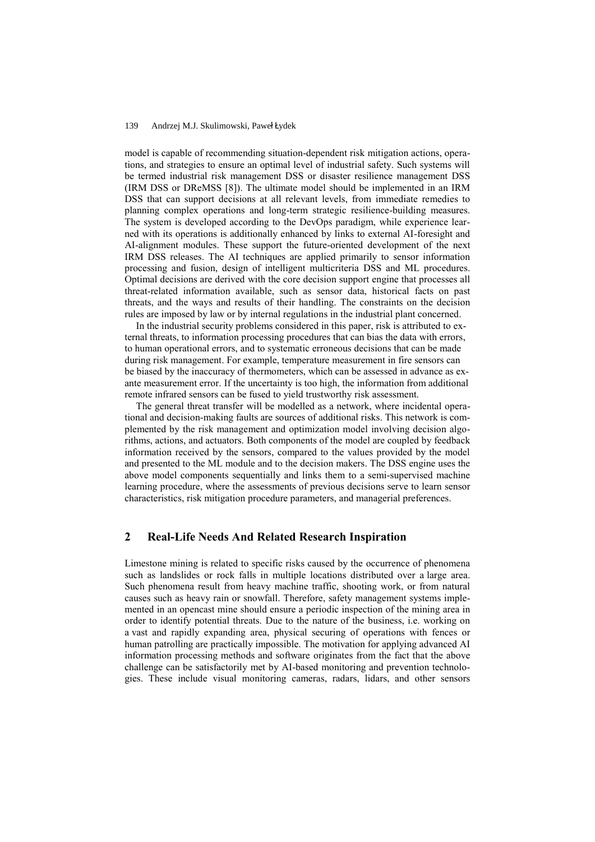#### 139 Andrzej M.J. Skulimowski, Paweł Łydek

model is capable of recommending situation-dependent risk mitigation actions, operations, and strategies to ensure an optimal level of industrial safety. Such systems will be termed industrial risk management DSS or disaster resilience management DSS (IRM DSS or DReMSS [\[8\]](#page-4-0)). The ultimate model should be implemented in an IRM DSS that can support decisions at all relevant levels, from immediate remedies to planning complex operations and long-term strategic resilience-building measures. The system is developed according to the DevOps paradigm, while experience learned with its operations is additionally enhanced by links to external AI-foresight and AI-alignment modules. These support the future-oriented development of the next IRM DSS releases. The AI techniques are applied primarily to sensor information processing and fusion, design of intelligent multicriteria DSS and ML procedures. Optimal decisions are derived with the core decision support engine that processes all threat-related information available, such as sensor data, historical facts on past threats, and the ways and results of their handling. The constraints on the decision rules are imposed by law or by internal regulations in the industrial plant concerned.

In the industrial security problems considered in this paper, risk is attributed to external threats, to information processing procedures that can bias the data with errors, to human operational errors, and to systematic erroneous decisions that can be made during risk management. For example, temperature measurement in fire sensors can be biased by the inaccuracy of thermometers, which can be assessed in advance as exante measurement error. If the uncertainty is too high, the information from additional remote infrared sensors can be fused to yield trustworthy risk assessment.

The general threat transfer will be modelled as a network, where incidental operational and decision-making faults are sources of additional risks. This network is complemented by the risk management and optimization model involving decision algorithms, actions, and actuators. Both components of the model are coupled by feedback information received by the sensors, compared to the values provided by the model and presented to the ML module and to the decision makers. The DSS engine uses the above model components sequentially and links them to a semi-supervised machine learning procedure, where the assessments of previous decisions serve to learn sensor characteristics, risk mitigation procedure parameters, and managerial preferences.

# **2 Real-Life Needs And Related Research Inspiration**

Limestone mining is related to specific risks caused by the occurrence of phenomena such as landslides or rock falls in multiple locations distributed over a large area. Such phenomena result from heavy machine traffic, shooting work, or from natural causes such as heavy rain or snowfall. Therefore, safety management systems implemented in an opencast mine should ensure a periodic inspection of the mining area in order to identify potential threats. Due to the nature of the business, i.e. working on a vast and rapidly expanding area, physical securing of operations with fences or human patrolling are practically impossible. The motivation for applying advanced AI information processing methods and software originates from the fact that the above challenge can be satisfactorily met by AI-based monitoring and prevention technologies. These include visual monitoring cameras, radars, lidars, and other sensors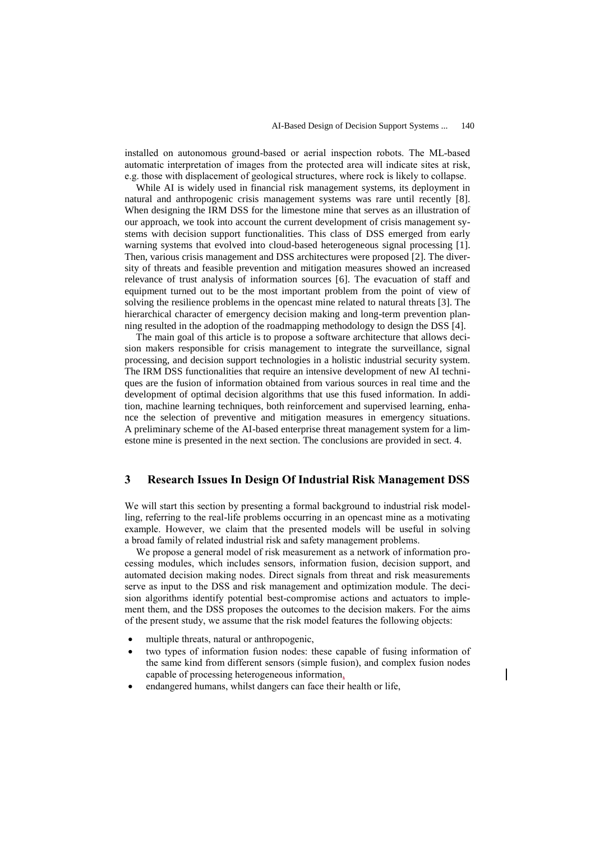installed on autonomous ground-based or aerial inspection robots. The ML-based automatic interpretation of images from the protected area will indicate sites at risk, e.g. those with displacement of geological structures, where rock is likely to collapse.

While AI is widely used in financial risk management systems, its deployment in natural and anthropogenic crisis management systems was rare until recently [\[8\]](#page-4-0). When designing the IRM DSS for the limestone mine that serves as an illustration of our approach, we took into account the current development of crisis management systems with decision support functionalities. This class of DSS emerged from early warning systems that evolved into cloud-based heterogeneous signal processing [\[1\]](#page-4-1). Then, various crisis management and DSS architectures were proposed [\[2\]](#page-4-2). The diversity of threats and feasible prevention and mitigation measures showed an increased relevance of trust analysis of information sources [\[6\]](#page-4-3). The evacuation of staff and equipment turned out to be the most important problem from the point of view of solving the resilience problems in the opencast mine related to natural threats [\[3\]](#page-4-4). The hierarchical character of emergency decision making and long-term prevention planning resulted in the adoption of the roadmapping methodology to design the DSS [\[4\]](#page-4-5).

The main goal of this article is to propose a software architecture that allows decision makers responsible for crisis management to integrate the surveillance, signal processing, and decision support technologies in a holistic industrial security system. The IRM DSS functionalities that require an intensive development of new AI techniques are the fusion of information obtained from various sources in real time and the development of optimal decision algorithms that use this fused information. In addition, machine learning techniques, both reinforcement and supervised learning, enhance the selection of preventive and mitigation measures in emergency situations. A preliminary scheme of the AI-based enterprise threat management system for a limestone mine is presented in the next section. The conclusions are provided in sect. 4.

# **3 Research Issues In Design Of Industrial Risk Management DSS**

We will start this section by presenting a formal background to industrial risk modelling, referring to the real-life problems occurring in an opencast mine as a motivating example. However, we claim that the presented models will be useful in solving a broad family of related industrial risk and safety management problems.

We propose a general model of risk measurement as a network of information processing modules, which includes sensors, information fusion, decision support, and automated decision making nodes. Direct signals from threat and risk measurements serve as input to the DSS and risk management and optimization module. The decision algorithms identify potential best-compromise actions and actuators to implement them, and the DSS proposes the outcomes to the decision makers. For the aims of the present study, we assume that the risk model features the following objects:

- multiple threats, natural or anthropogenic,
- two types of information fusion nodes: these capable of fusing information of the same kind from different sensors (simple fusion), and complex fusion nodes capable of processing heterogeneous information,
- endangered humans, whilst dangers can face their health or life,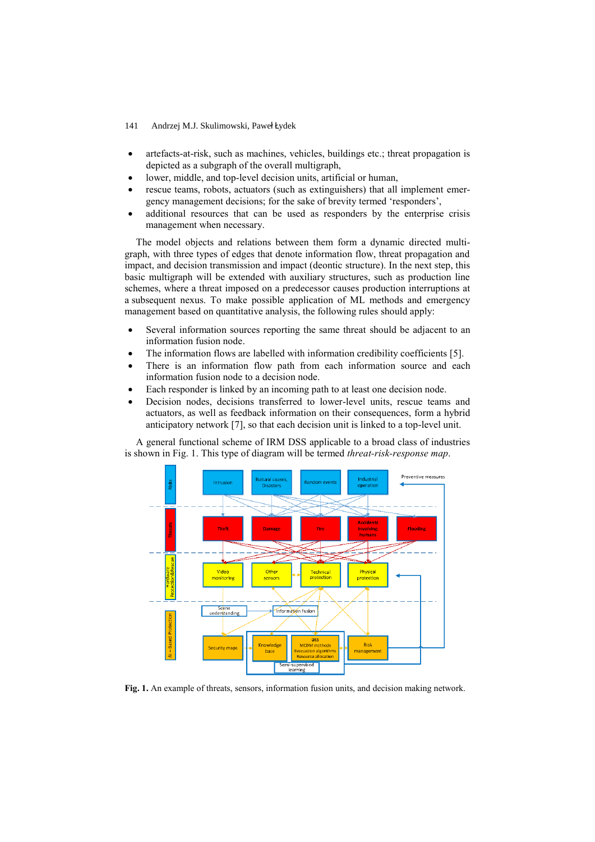- 141 Andrzej M.J. Skulimowski, Paweł Łydek
- artefacts-at-risk, such as machines, vehicles, buildings etc.; threat propagation is depicted as a subgraph of the overall multigraph,
- lower, middle, and top-level decision units, artificial or human,
- rescue teams, robots, actuators (such as extinguishers) that all implement emergency management decisions; for the sake of brevity termed 'responders',
- additional resources that can be used as responders by the enterprise crisis management when necessary.

The model objects and relations between them form a dynamic directed multigraph, with three types of edges that denote information flow, threat propagation and impact, and decision transmission and impact (deontic structure). In the next step, this basic multigraph will be extended with auxiliary structures, such as production line schemes, where a threat imposed on a predecessor causes production interruptions at a subsequent nexus. To make possible application of ML methods and emergency management based on quantitative analysis, the following rules should apply:

- Several information sources reporting the same threat should be adjacent to an information fusion node.
- The information flows are labelled with information credibility coefficients [\[5\]](#page-4-6).
- There is an information flow path from each information source and each information fusion node to a decision node.
- Each responder is linked by an incoming path to at least one decision node.
- Decision nodes, decisions transferred to lower-level units, rescue teams and actuators, as well as feedback information on their consequences, form a hybrid anticipatory network [\[7\]](#page-4-7), so that each decision unit is linked to a top-level unit.

A general functional scheme of IRM DSS applicable to a broad class of industries is shown in [Fig.](#page-3-0) 1. This type of diagram will be termed *threat-risk-response map*.



<span id="page-3-0"></span>**Fig. 1.** An example of threats, sensors, information fusion units, and decision making network.